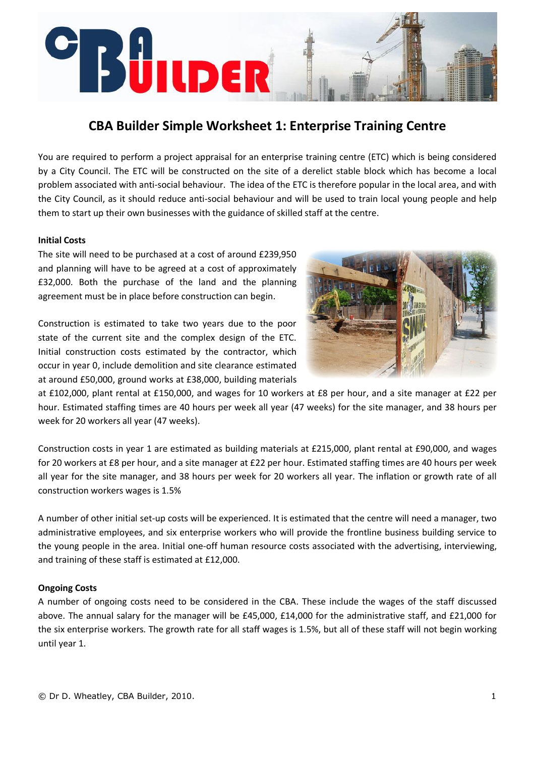# **Sülider**

# **CBA Builder Simple Worksheet 1: Enterprise Training Centre**

You are required to perform a project appraisal for an enterprise training centre (ETC) which is being considered by a City Council. The ETC will be constructed on the site of a derelict stable block which has become a local problem associated with anti‐social behaviour. The idea of the ETC is therefore popular in the local area, and with the City Council, as it should reduce anti‐social behaviour and will be used to train local young people and help them to start up their own businesses with the guidance of skilled staff at the centre.

### **Initial Costs**

The site will need to be purchased at a cost of around £239,950 and planning will have to be agreed at a cost of approximately £32,000. Both the purchase of the land and the planning agreement must be in place before construction can begin.

Construction is estimated to take two years due to the poor state of the current site and the complex design of the ETC. Initial construction costs estimated by the contractor, which occur in year 0, include demolition and site clearance estimated at around £50,000, ground works at £38,000, building materials



at £102,000, plant rental at £150,000, and wages for 10 workers at £8 per hour, and a site manager at £22 per hour. Estimated staffing times are 40 hours per week all year (47 weeks) for the site manager, and 38 hours per week for 20 workers all year (47 weeks).

Construction costs in year 1 are estimated as building materials at £215,000, plant rental at £90,000, and wages for 20 workers at £8 per hour, and a site manager at £22 per hour. Estimated staffing times are 40 hours per week all year for the site manager, and 38 hours per week for 20 workers all year. The inflation or growth rate of all construction workers wages is 1.5%

A number of other initial set‐up costs will be experienced. It is estimated that the centre will need a manager, two administrative employees, and six enterprise workers who will provide the frontline business building service to the young people in the area. Initial one‐off human resource costs associated with the advertising, interviewing, and training of these staff is estimated at £12,000.

# **Ongoing Costs**

A number of ongoing costs need to be considered in the CBA. These include the wages of the staff discussed above. The annual salary for the manager will be £45,000, £14,000 for the administrative staff, and £21,000 for the six enterprise workers. The growth rate for all staff wages is 1.5%, but all of these staff will not begin working until year 1.